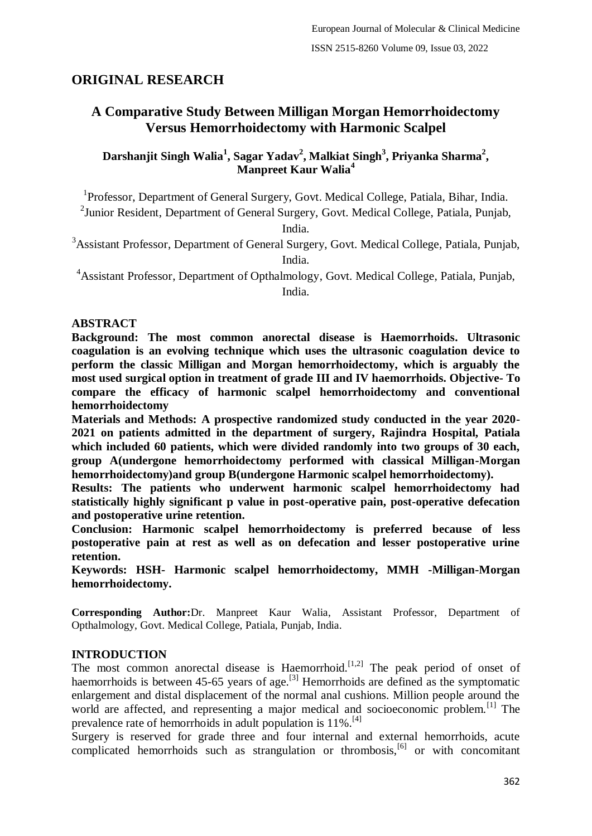# **ORIGINAL RESEARCH**

# **A Comparative Study Between Milligan Morgan Hemorrhoidectomy Versus Hemorrhoidectomy with Harmonic Scalpel**

**Darshanjit Singh Walia<sup>1</sup> , Sagar Yadav<sup>2</sup> , Malkiat Singh<sup>3</sup> , Priyanka Sharma<sup>2</sup> , Manpreet Kaur Walia<sup>4</sup>**

<sup>1</sup>Professor, Department of General Surgery, Govt. Medical College, Patiala, Bihar, India.

<sup>2</sup> Junior Resident, Department of General Surgery, Govt. Medical College, Patiala, Punjab,

India.

<sup>3</sup>Assistant Professor, Department of General Surgery, Govt. Medical College, Patiala, Punjab, India.

<sup>4</sup>Assistant Professor, Department of Opthalmology, Govt. Medical College, Patiala, Punjab, India.

### **ABSTRACT**

**Background: The most common anorectal disease is Haemorrhoids. Ultrasonic coagulation is an evolving technique which uses the ultrasonic coagulation device to perform the classic Milligan and Morgan hemorrhoidectomy, which is arguably the most used surgical option in treatment of grade III and IV haemorrhoids. Objective- To compare the efficacy of harmonic scalpel hemorrhoidectomy and conventional hemorrhoidectomy**

**Materials and Methods: A prospective randomized study conducted in the year 2020- 2021 on patients admitted in the department of surgery, Rajindra Hospital, Patiala which included 60 patients, which were divided randomly into two groups of 30 each, group A(undergone hemorrhoidectomy performed with classical Milligan-Morgan hemorrhoidectomy)and group B(undergone Harmonic scalpel hemorrhoidectomy).**

**Results: The patients who underwent harmonic scalpel hemorrhoidectomy had statistically highly significant p value in post-operative pain, post-operative defecation and postoperative urine retention.**

**Conclusion: Harmonic scalpel hemorrhoidectomy is preferred because of less postoperative pain at rest as well as on defecation and lesser postoperative urine retention.**

**Keywords: HSH- Harmonic scalpel hemorrhoidectomy, MMH -Milligan-Morgan hemorrhoidectomy.**

**Corresponding Author:**Dr. Manpreet Kaur Walia, Assistant Professor, Department of Opthalmology, Govt. Medical College, Patiala, Punjab, India.

#### **INTRODUCTION**

The most common anorectal disease is Haemorrhoid.<sup>[1,2]</sup> The peak period of onset of haemorrhoids is between 45-65 years of age.<sup>[3]</sup> Hemorrhoids are defined as the symptomatic enlargement and distal displacement of the normal anal cushions. Million people around the world are affected, and representing a major medical and socioeconomic problem.<sup>[1]</sup> The prevalence rate of hemorrhoids in adult population is 11%.[4]

Surgery is reserved for grade three and four internal and external hemorrhoids, acute complicated hemorrhoids such as strangulation or thrombosis, $[6]$  or with concomitant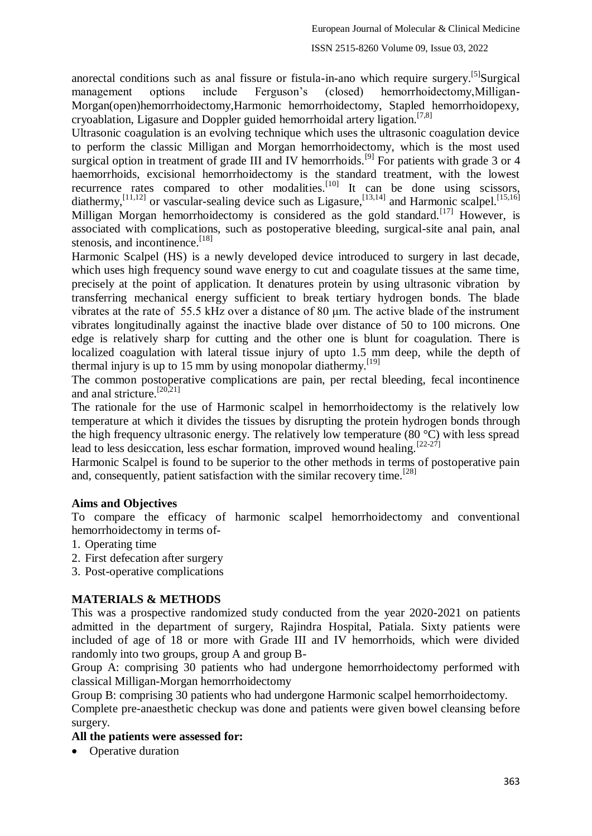anorectal conditions such as anal fissure or fistula-in-ano which require surgery.<sup>[5]</sup>Surgical management options include Ferguson's (closed) hemorrhoidectomy,Milligan-Morgan(open)hemorrhoidectomy,Harmonic hemorrhoidectomy, Stapled hemorrhoidopexy, cryoablation, Ligasure and Doppler guided hemorrhoidal artery ligation.[7,8]

Ultrasonic coagulation is an evolving technique which uses the ultrasonic coagulation device to perform the classic Milligan and Morgan hemorrhoidectomy, which is the most used surgical option in treatment of grade III and IV hemorrhoids.<sup>[9]</sup> For patients with grade 3 or 4 haemorrhoids, excisional hemorrhoidectomy is the standard treatment, with the lowest recurrence rates compared to other modalities.<sup>[10]</sup> It can be done using scissors, diathermy,  $^{[11,12]}$  or vascular-sealing device such as Ligasure,  $^{[13,14]}$  and Harmonic scalpel.  $^{[15,16]}$ Milligan Morgan hemorrhoidectomy is considered as the gold standard.<sup>[17]</sup> However, is associated with complications, such as postoperative bleeding, surgical-site anal pain, anal stenosis, and incontinence.<sup>[18]</sup>

Harmonic Scalpel (HS) is a newly developed device introduced to surgery in last decade, which uses high frequency sound wave energy to cut and coagulate tissues at the same time, precisely at the point of application. It denatures protein by using ultrasonic vibration by transferring mechanical energy sufficient to break tertiary hydrogen bonds. The blade vibrates at the rate of 55.5 kHz over a distance of 80 μm. The active blade of the instrument vibrates longitudinally against the inactive blade over distance of 50 to 100 microns. One edge is relatively sharp for cutting and the other one is blunt for coagulation. There is localized coagulation with lateral tissue injury of upto 1.5 mm deep, while the depth of thermal injury is up to 15 mm by using monopolar diathermy.<sup>[19]</sup>

The common postoperative complications are pain, per rectal bleeding, fecal incontinence and anal stricture.<sup>[20,21]</sup>

The rationale for the use of Harmonic scalpel in hemorrhoidectomy is the relatively low temperature at which it divides the tissues by disrupting the protein hydrogen bonds through the high frequency ultrasonic energy. The relatively low temperature (80 °C) with less spread lead to less desiccation, less eschar formation, improved wound healing.  $[22-27]$ 

Harmonic Scalpel is found to be superior to the other methods in terms of postoperative pain and, consequently, patient satisfaction with the similar recovery time.<sup>[28]</sup>

## **Aims and Objectives**

To compare the efficacy of harmonic scalpel hemorrhoidectomy and conventional hemorrhoidectomy in terms of-

- 1. Operating time
- 2. First defecation after surgery
- 3. Post-operative complications

### **MATERIALS & METHODS**

This was a prospective randomized study conducted from the year 2020-2021 on patients admitted in the department of surgery, Rajindra Hospital, Patiala. Sixty patients were included of age of 18 or more with Grade III and IV hemorrhoids, which were divided randomly into two groups, group A and group B-

Group A: comprising 30 patients who had undergone hemorrhoidectomy performed with classical Milligan-Morgan hemorrhoidectomy

Group B: comprising 30 patients who had undergone Harmonic scalpel hemorrhoidectomy.

Complete pre-anaesthetic checkup was done and patients were given bowel cleansing before surgery.

### **All the patients were assessed for:**

• Operative duration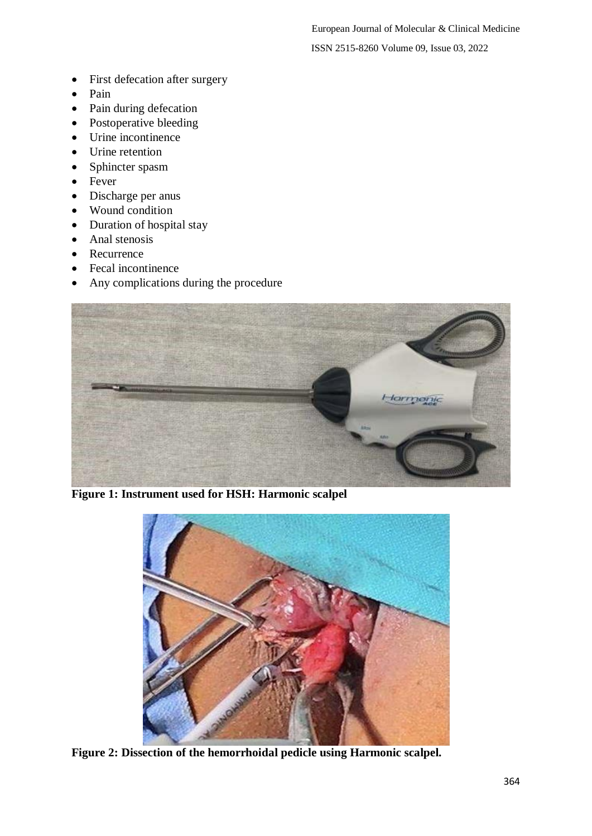- First defecation after surgery
- Pain
- Pain during defecation
- Postoperative bleeding
- Urine incontinence
- Urine retention
- Sphincter spasm
- Fever
- Discharge per anus
- Wound condition
- Duration of hospital stay
- Anal stenosis
- Recurrence
- Fecal incontinence
- Any complications during the procedure



**Figure 1: Instrument used for HSH: Harmonic scalpel**



**Figure 2: Dissection of the hemorrhoidal pedicle using Harmonic scalpel.**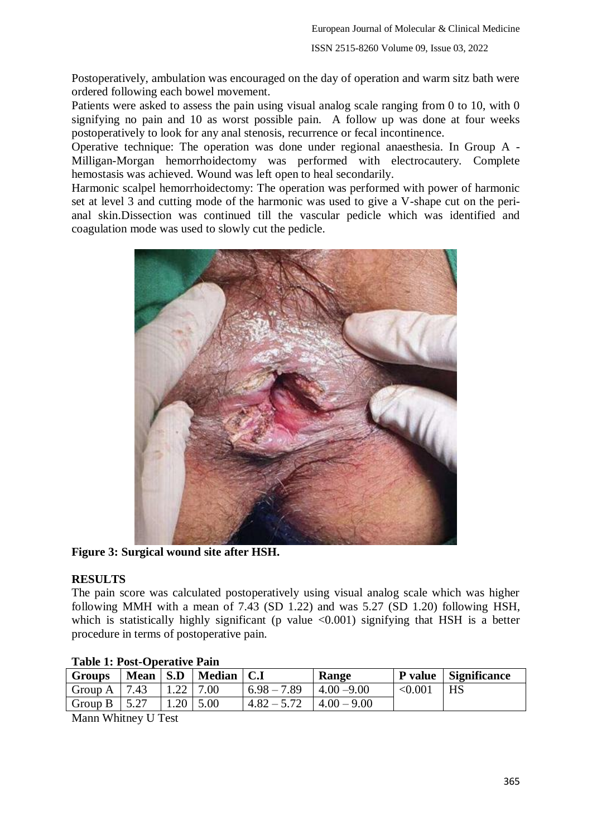Postoperatively, ambulation was encouraged on the day of operation and warm sitz bath were ordered following each bowel movement.

Patients were asked to assess the pain using visual analog scale ranging from 0 to 10, with 0 signifying no pain and 10 as worst possible pain. A follow up was done at four weeks postoperatively to look for any anal stenosis, recurrence or fecal incontinence.

Operative technique: The operation was done under regional anaesthesia. In Group A - Milligan-Morgan hemorrhoidectomy was performed with electrocautery. Complete hemostasis was achieved. Wound was left open to heal secondarily.

Harmonic scalpel hemorrhoidectomy: The operation was performed with power of harmonic set at level 3 and cutting mode of the harmonic was used to give a V-shape cut on the perianal skin.Dissection was continued till the vascular pedicle which was identified and coagulation mode was used to slowly cut the pedicle.



**Figure 3: Surgical wound site after HSH.**

### **RESULTS**

The pain score was calculated postoperatively using visual analog scale which was higher following MMH with a mean of 7.43 (SD 1.22) and was 5.27 (SD 1.20) following HSH, which is statistically highly significant (p value  $\langle 0.001 \rangle$  signifying that HSH is a better procedure in terms of postoperative pain.

| $\sim$ 0.0 $\sim$ 0.0 $\sim$ 0.0 $\sim$ 0.0 $\sim$ 0.0 $\sim$ 0.0 $\sim$ 0.0 $\sim$ 0.0 $\sim$ 0.0 $\sim$ 0.0 $\sim$ 0.0 $\sim$ |  |             |                           |               |                 |         |                      |
|---------------------------------------------------------------------------------------------------------------------------------|--|-------------|---------------------------|---------------|-----------------|---------|----------------------|
| <b>Groups</b>                                                                                                                   |  |             | Mean   S.D   Median   C.I |               | Range           |         | P value Significance |
| Group A   $7.43$                                                                                                                |  | $1.22$ 7.00 |                           | $6.98 - 7.89$ | $4.00 - 9.00$   | < 0.001 | HS                   |
| Group B $\vert$ 5.27                                                                                                            |  |             | $1.20 \, \vert \, 5.00$   | $4.82 - 5.72$ | $ 4.00 - 9.00 $ |         |                      |

### **Table 1: Post-Operative Pain**

Mann Whitney U Test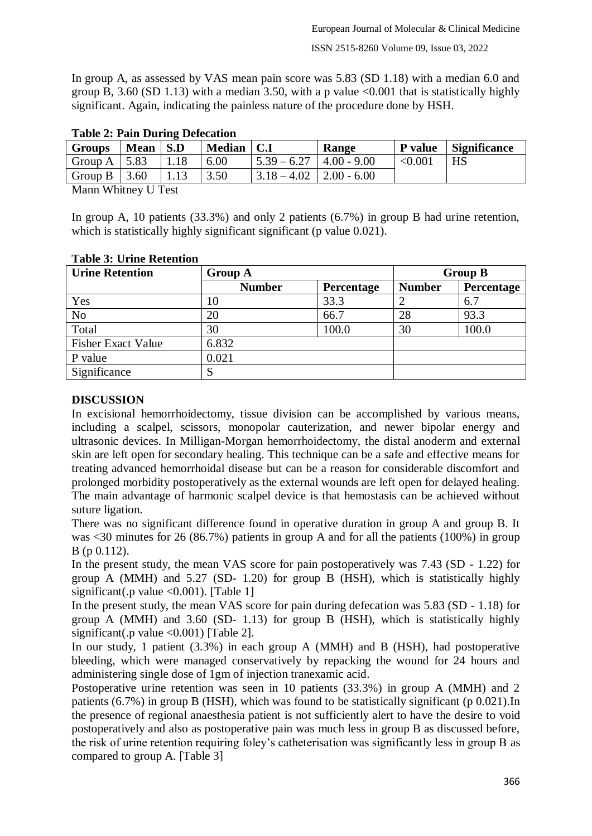In group A, as assessed by VAS mean pain score was 5.83 (SD 1.18) with a median 6.0 and group B, 3.60 (SD 1.13) with a median 3.50, with a p value  $\leq 0.001$  that is statistically highly significant. Again, indicating the painless nature of the procedure done by HSH.

| Table 2. I am During Delecation |          |      |              |                                             |                 |                |              |
|---------------------------------|----------|------|--------------|---------------------------------------------|-----------------|----------------|--------------|
| <b>Groups</b>                   | Mean S.D |      | Median   C.I |                                             | Range           | <b>P</b> value | Significance |
| Group A $\vert$ 5.83            |          | 1.18 | 6.00         | $\frac{1}{5.39} - 6.27$                     | $ 4.00 - 9.00 $ | < 0.001        | HS           |
| Group B $\vert 3.60 \vert$      |          | 1.13 | 3.50         | $\vert 3.18 - 4.02 \vert 2.00 - 6.00 \vert$ |                 |                |              |
|                                 |          |      |              |                                             |                 |                |              |

## **Table 2: Pain During Defecation**

Mann Whitney U Test

In group A, 10 patients (33.3%) and only 2 patients (6.7%) in group B had urine retention, which is statistically highly significant significant (p value 0.021).

| <b>Urine Retention</b>    | <b>Group A</b> | <b>Group B</b> |               |            |
|---------------------------|----------------|----------------|---------------|------------|
|                           | <b>Number</b>  | Percentage     | <b>Number</b> | Percentage |
| Yes                       | 10             | 33.3           |               | 6.7        |
| N <sub>o</sub>            | 20             | 66.7           | 28            | 93.3       |
| Total                     | 30             | 100.0          | 30            | 100.0      |
| <b>Fisher Exact Value</b> | 6.832          |                |               |            |
| P value                   | 0.021          |                |               |            |
| Significance              |                |                |               |            |

## **Table 3: Urine Retention**

## **DISCUSSION**

In excisional hemorrhoidectomy, tissue division can be accomplished by various means, including a scalpel, scissors, monopolar cauterization, and newer bipolar energy and ultrasonic devices. In Milligan-Morgan hemorrhoidectomy, the distal anoderm and external skin are left open for secondary healing. This technique can be a safe and effective means for treating advanced hemorrhoidal disease but can be a reason for considerable discomfort and prolonged morbidity postoperatively as the external wounds are left open for delayed healing. The main advantage of harmonic scalpel device is that hemostasis can be achieved without suture ligation.

There was no significant difference found in operative duration in group A and group B. It was <30 minutes for 26 (86.7%) patients in group A and for all the patients (100%) in group B (p 0.112).

In the present study, the mean VAS score for pain postoperatively was 7.43 (SD - 1.22) for group A (MMH) and 5.27 (SD- 1.20) for group B (HSH), which is statistically highly significant(.p value  $\langle 0.001 \rangle$ . [Table 1]

In the present study, the mean VAS score for pain during defecation was 5.83 (SD - 1.18) for group A (MMH) and 3.60 (SD- 1.13) for group B (HSH), which is statistically highly significant(.p value  $\langle 0.001 \rangle$  [Table 2].

In our study, 1 patient (3.3%) in each group A (MMH) and B (HSH), had postoperative bleeding, which were managed conservatively by repacking the wound for 24 hours and administering single dose of 1gm of injection tranexamic acid.

Postoperative urine retention was seen in 10 patients (33.3%) in group A (MMH) and 2 patients (6.7%) in group B (HSH), which was found to be statistically significant (p 0.021).In the presence of regional anaesthesia patient is not sufficiently alert to have the desire to void postoperatively and also as postoperative pain was much less in group B as discussed before, the risk of urine retention requiring foley's catheterisation was significantly less in group B as compared to group A. [Table 3]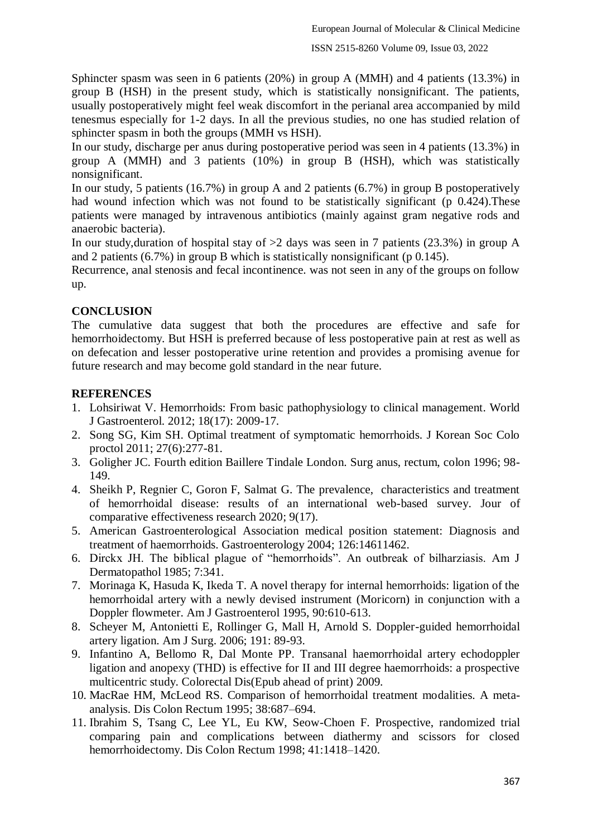Sphincter spasm was seen in 6 patients (20%) in group A (MMH) and 4 patients (13.3%) in group B (HSH) in the present study, which is statistically nonsignificant. The patients, usually postoperatively might feel weak discomfort in the perianal area accompanied by mild tenesmus especially for 1-2 days. In all the previous studies, no one has studied relation of sphincter spasm in both the groups (MMH vs HSH).

In our study, discharge per anus during postoperative period was seen in 4 patients (13.3%) in group A (MMH) and 3 patients (10%) in group B (HSH), which was statistically nonsignificant.

In our study, 5 patients (16.7%) in group A and 2 patients (6.7%) in group B postoperatively had wound infection which was not found to be statistically significant (p 0.424). These patients were managed by intravenous antibiotics (mainly against gram negative rods and anaerobic bacteria).

In our study, duration of hospital stay of  $>2$  days was seen in 7 patients (23.3%) in group A and 2 patients (6.7%) in group B which is statistically nonsignificant (p 0.145).

Recurrence, anal stenosis and fecal incontinence. was not seen in any of the groups on follow up.

#### **CONCLUSION**

The cumulative data suggest that both the procedures are effective and safe for hemorrhoidectomy. But HSH is preferred because of less postoperative pain at rest as well as on defecation and lesser postoperative urine retention and provides a promising avenue for future research and may become gold standard in the near future.

#### **REFERENCES**

- 1. Lohsiriwat V. Hemorrhoids: From basic pathophysiology to clinical management. World J Gastroenterol. 2012; 18(17): 2009-17.
- 2. Song SG, Kim SH. Optimal treatment of symptomatic hemorrhoids. J Korean Soc Colo proctol 2011; 27(6):277-81.
- 3. Goligher JC. Fourth edition Baillere Tindale London. Surg anus, rectum, colon 1996; 98- 149.
- 4. Sheikh P, Regnier C, Goron F, Salmat G. The prevalence, characteristics and treatment of hemorrhoidal disease: results of an international web-based survey. Jour of comparative effectiveness research 2020; 9(17).
- 5. American Gastroenterological Association medical position statement: Diagnosis and treatment of haemorrhoids. Gastroenterology 2004; 126:14611462.
- 6. Dirckx JH. The biblical plague of "hemorrhoids". An outbreak of bilharziasis. Am J Dermatopathol 1985; 7:341.
- 7. Morinaga K, Hasuda K, Ikeda T. A novel therapy for internal hemorrhoids: ligation of the hemorrhoidal artery with a newly devised instrument (Moricorn) in conjunction with a Doppler flowmeter. Am J Gastroenterol 1995, 90:610-613.
- 8. Scheyer M, Antonietti E, Rollinger G, Mall H, Arnold S. Doppler-guided hemorrhoidal artery ligation. Am J Surg. 2006; 191: 89-93.
- 9. Infantino A, Bellomo R, Dal Monte PP. Transanal haemorrhoidal artery echodoppler ligation and anopexy (THD) is effective for II and III degree haemorrhoids: a prospective multicentric study. Colorectal Dis(Epub ahead of print) 2009.
- 10. MacRae HM, McLeod RS. Comparison of hemorrhoidal treatment modalities. A metaanalysis. Dis Colon Rectum 1995; 38:687–694.
- 11. Ibrahim S, Tsang C, Lee YL, Eu KW, Seow-Choen F. Prospective, randomized trial comparing pain and complications between diathermy and scissors for closed hemorrhoidectomy. Dis Colon Rectum 1998; 41:1418–1420.